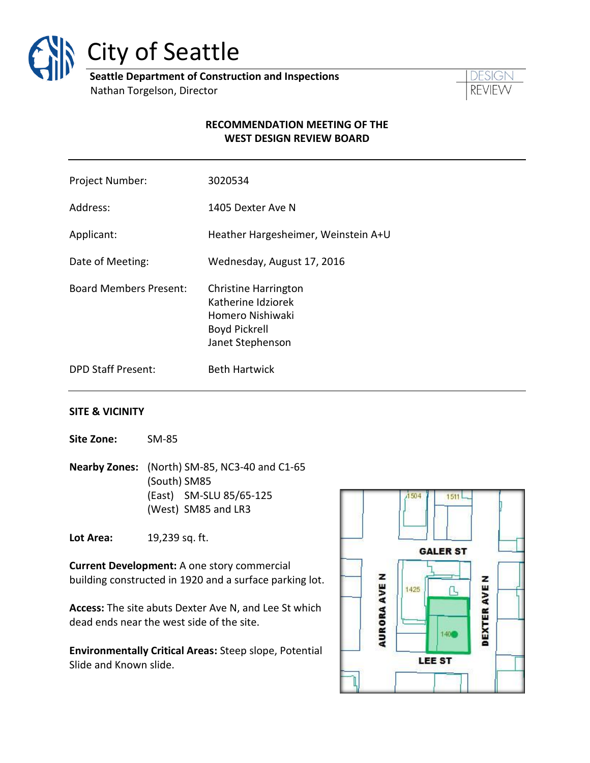

# City of Seattle

**Seattle Department of Construction and Inspections** Nathan Torgelson, Director



## **RECOMMENDATION MEETING OF THE WEST DESIGN REVIEW BOARD**

| Project Number:               | 3020534                                                                                                    |
|-------------------------------|------------------------------------------------------------------------------------------------------------|
| Address:                      | 1405 Dexter Ave N                                                                                          |
| Applicant:                    | Heather Hargesheimer, Weinstein A+U                                                                        |
| Date of Meeting:              | Wednesday, August 17, 2016                                                                                 |
| <b>Board Members Present:</b> | <b>Christine Harrington</b><br>Katherine Idziorek<br>Homero Nishiwaki<br>Boyd Pickrell<br>Janet Stephenson |
| <b>DPD Staff Present:</b>     | <b>Beth Hartwick</b>                                                                                       |

## **SITE & VICINITY**

**Site Zone:** SM-85

**Nearby Zones:** (North) SM-85, NC3-40 and C1-65 (South) SM85 (East) SM-SLU 85/65-125 (West) SM85 and LR3

**Lot Area:** 19,239 sq. ft.

**Current Development:** A one story commercial building constructed in 1920 and a surface parking lot.

**Access:** The site abuts Dexter Ave N, and Lee St which dead ends near the west side of the site.

**Environmentally Critical Areas:** Steep slope, Potential Slide and Known slide.

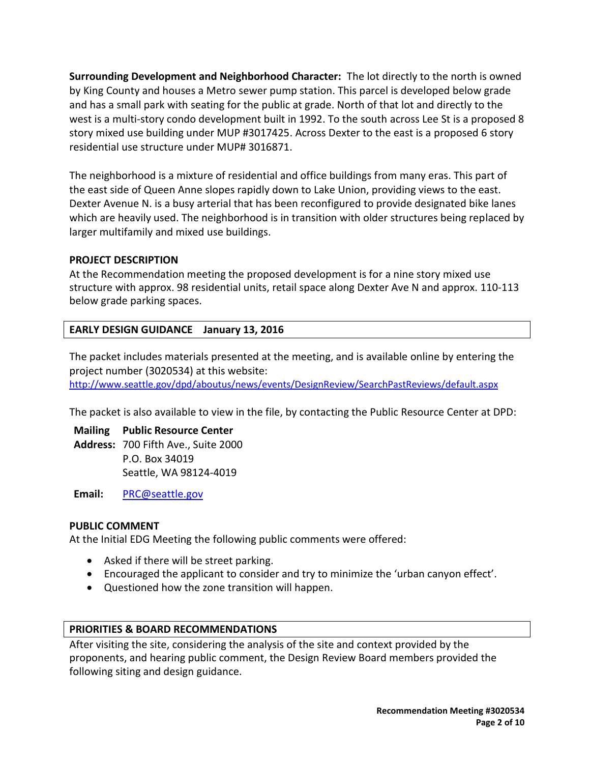**Surrounding Development and Neighborhood Character:** The lot directly to the north is owned by King County and houses a Metro sewer pump station. This parcel is developed below grade and has a small park with seating for the public at grade. North of that lot and directly to the west is a multi-story condo development built in 1992. To the south across Lee St is a proposed 8 story mixed use building under MUP #3017425. Across Dexter to the east is a proposed 6 story residential use structure under MUP# 3016871.

The neighborhood is a mixture of residential and office buildings from many eras. This part of the east side of Queen Anne slopes rapidly down to Lake Union, providing views to the east. Dexter Avenue N. is a busy arterial that has been reconfigured to provide designated bike lanes which are heavily used. The neighborhood is in transition with older structures being replaced by larger multifamily and mixed use buildings.

# **PROJECT DESCRIPTION**

At the Recommendation meeting the proposed development is for a nine story mixed use structure with approx. 98 residential units, retail space along Dexter Ave N and approx. 110-113 below grade parking spaces.

# **EARLY DESIGN GUIDANCE January 13, 2016**

The packet includes materials presented at the meeting, and is available online by entering the project number (3020534) at this website:

<http://www.seattle.gov/dpd/aboutus/news/events/DesignReview/SearchPastReviews/default.aspx>

The packet is also available to view in the file, by contacting the Public Resource Center at DPD:

## **Mailing Public Resource Center**

**Address:** 700 Fifth Ave., Suite 2000 P.O. Box 34019 Seattle, WA 98124-4019

**Email:** [PRC@seattle.gov](mailto:PRC@seattle.gov)

## **PUBLIC COMMENT**

At the Initial EDG Meeting the following public comments were offered:

- Asked if there will be street parking.
- Encouraged the applicant to consider and try to minimize the 'urban canyon effect'.
- Questioned how the zone transition will happen.

## **PRIORITIES & BOARD RECOMMENDATIONS**

After visiting the site, considering the analysis of the site and context provided by the proponents, and hearing public comment, the Design Review Board members provided the following siting and design guidance.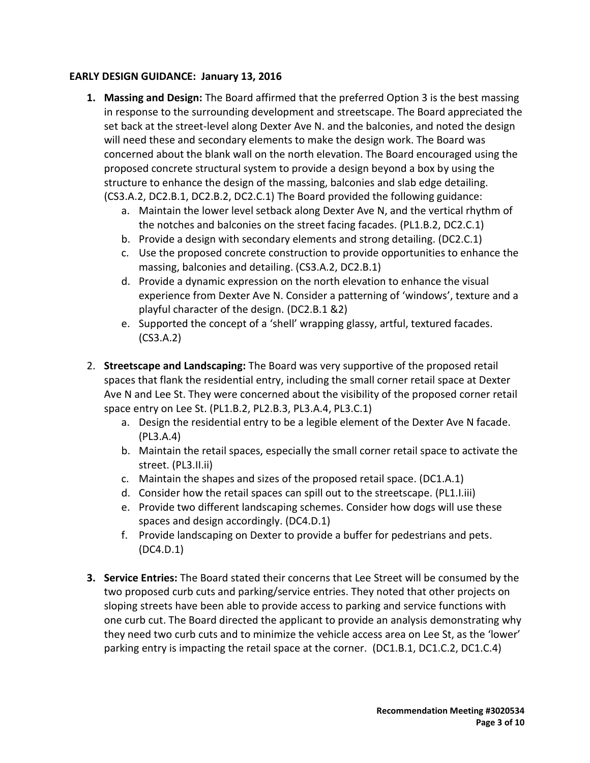# **EARLY DESIGN GUIDANCE: January 13, 2016**

- **1. Massing and Design:** The Board affirmed that the preferred Option 3 is the best massing in response to the surrounding development and streetscape. The Board appreciated the set back at the street-level along Dexter Ave N. and the balconies, and noted the design will need these and secondary elements to make the design work. The Board was concerned about the blank wall on the north elevation. The Board encouraged using the proposed concrete structural system to provide a design beyond a box by using the structure to enhance the design of the massing, balconies and slab edge detailing. (CS3.A.2, DC2.B.1, DC2.B.2, DC2.C.1) The Board provided the following guidance:
	- a. Maintain the lower level setback along Dexter Ave N, and the vertical rhythm of the notches and balconies on the street facing facades. (PL1.B.2, DC2.C.1)
	- b. Provide a design with secondary elements and strong detailing. (DC2.C.1)
	- c. Use the proposed concrete construction to provide opportunities to enhance the massing, balconies and detailing. (CS3.A.2, DC2.B.1)
	- d. Provide a dynamic expression on the north elevation to enhance the visual experience from Dexter Ave N. Consider a patterning of 'windows', texture and a playful character of the design. (DC2.B.1 &2)
	- e. Supported the concept of a 'shell' wrapping glassy, artful, textured facades. (CS3.A.2)
- 2. **Streetscape and Landscaping:** The Board was very supportive of the proposed retail spaces that flank the residential entry, including the small corner retail space at Dexter Ave N and Lee St. They were concerned about the visibility of the proposed corner retail space entry on Lee St. (PL1.B.2, PL2.B.3, PL3.A.4, PL3.C.1)
	- a. Design the residential entry to be a legible element of the Dexter Ave N facade. (PL3.A.4)
	- b. Maintain the retail spaces, especially the small corner retail space to activate the street. (PL3.II.ii)
	- c. Maintain the shapes and sizes of the proposed retail space. (DC1.A.1)
	- d. Consider how the retail spaces can spill out to the streetscape. (PL1.I.iii)
	- e. Provide two different landscaping schemes. Consider how dogs will use these spaces and design accordingly. (DC4.D.1)
	- f. Provide landscaping on Dexter to provide a buffer for pedestrians and pets. (DC4.D.1)
- **3. Service Entries:** The Board stated their concerns that Lee Street will be consumed by the two proposed curb cuts and parking/service entries. They noted that other projects on sloping streets have been able to provide access to parking and service functions with one curb cut. The Board directed the applicant to provide an analysis demonstrating why they need two curb cuts and to minimize the vehicle access area on Lee St, as the 'lower' parking entry is impacting the retail space at the corner. (DC1.B.1, DC1.C.2, DC1.C.4)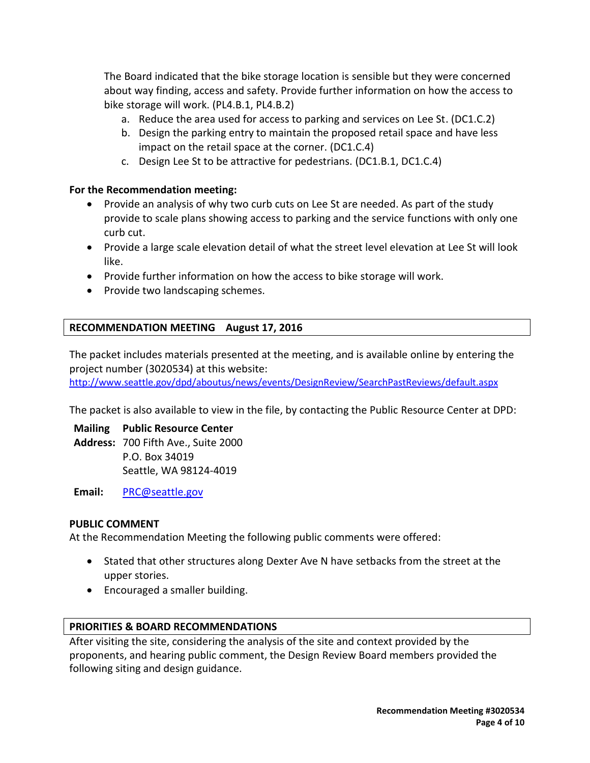The Board indicated that the bike storage location is sensible but they were concerned about way finding, access and safety. Provide further information on how the access to bike storage will work. (PL4.B.1, PL4.B.2)

- a. Reduce the area used for access to parking and services on Lee St. (DC1.C.2)
- b. Design the parking entry to maintain the proposed retail space and have less impact on the retail space at the corner. (DC1.C.4)
- c. Design Lee St to be attractive for pedestrians. (DC1.B.1, DC1.C.4)

# **For the Recommendation meeting:**

- Provide an analysis of why two curb cuts on Lee St are needed. As part of the study provide to scale plans showing access to parking and the service functions with only one curb cut.
- Provide a large scale elevation detail of what the street level elevation at Lee St will look like.
- Provide further information on how the access to bike storage will work.
- Provide two landscaping schemes.

# **RECOMMENDATION MEETING August 17, 2016**

The packet includes materials presented at the meeting, and is available online by entering the project number (3020534) at this website:

<http://www.seattle.gov/dpd/aboutus/news/events/DesignReview/SearchPastReviews/default.aspx>

The packet is also available to view in the file, by contacting the Public Resource Center at DPD:

**Mailing Public Resource Center Address:** 700 Fifth Ave., Suite 2000 P.O. Box 34019 Seattle, WA 98124-4019

**Email:** [PRC@seattle.gov](mailto:PRC@seattle.gov)

## **PUBLIC COMMENT**

At the Recommendation Meeting the following public comments were offered:

- Stated that other structures along Dexter Ave N have setbacks from the street at the upper stories.
- Encouraged a smaller building.

## **PRIORITIES & BOARD RECOMMENDATIONS**

After visiting the site, considering the analysis of the site and context provided by the proponents, and hearing public comment, the Design Review Board members provided the following siting and design guidance.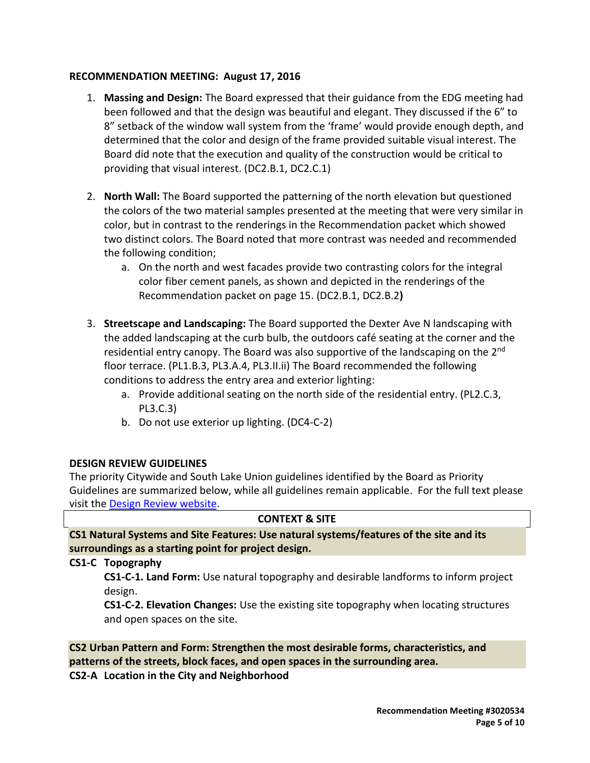## **RECOMMENDATION MEETING: August 17, 2016**

- 1. **Massing and Design:** The Board expressed that their guidance from the EDG meeting had been followed and that the design was beautiful and elegant. They discussed if the 6" to 8" setback of the window wall system from the 'frame' would provide enough depth, and determined that the color and design of the frame provided suitable visual interest. The Board did note that the execution and quality of the construction would be critical to providing that visual interest. (DC2.B.1, DC2.C.1)
- 2. **North Wall:** The Board supported the patterning of the north elevation but questioned the colors of the two material samples presented at the meeting that were very similar in color, but in contrast to the renderings in the Recommendation packet which showed two distinct colors. The Board noted that more contrast was needed and recommended the following condition;
	- a. On the north and west facades provide two contrasting colors for the integral color fiber cement panels, as shown and depicted in the renderings of the Recommendation packet on page 15. (DC2.B.1, DC2.B.2**)**
- 3. **Streetscape and Landscaping:** The Board supported the Dexter Ave N landscaping with the added landscaping at the curb bulb, the outdoors café seating at the corner and the residential entry canopy. The Board was also supportive of the landscaping on the 2<sup>nd</sup> floor terrace. (PL1.B.3, PL3.A.4, PL3.II.ii) The Board recommended the following conditions to address the entry area and exterior lighting:
	- a. Provide additional seating on the north side of the residential entry. (PL2.C.3, PL3.C.3)
	- b. Do not use exterior up lighting. (DC4-C-2)

## **DESIGN REVIEW GUIDELINES**

The priority Citywide and South Lake Union guidelines identified by the Board as Priority Guidelines are summarized below, while all guidelines remain applicable. For the full text please visit the [Design Review website.](https://www.seattle.gov/dpd/aboutus/whoweare/designreview/designguidelines/default.htm)

## **CONTEXT & SITE**

**CS1 Natural Systems and Site Features: Use natural systems/features of the site and its surroundings as a starting point for project design.**

## **CS1-C Topography**

**CS1-C-1. Land Form:** Use natural topography and desirable landforms to inform project design.

**CS1-C-2. Elevation Changes:** Use the existing site topography when locating structures and open spaces on the site.

**CS2 Urban Pattern and Form: Strengthen the most desirable forms, characteristics, and patterns of the streets, block faces, and open spaces in the surrounding area.**

**CS2-A Location in the City and Neighborhood**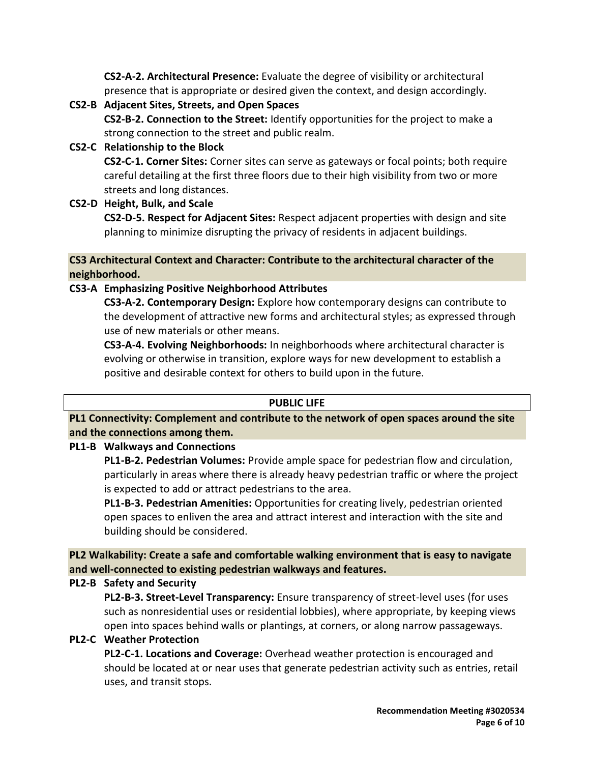**CS2-A-2. Architectural Presence:** Evaluate the degree of visibility or architectural presence that is appropriate or desired given the context, and design accordingly.

**CS2-B Adjacent Sites, Streets, and Open Spaces CS2-B-2. Connection to the Street:** Identify opportunities for the project to make a strong connection to the street and public realm.

## **CS2-C Relationship to the Block**

**CS2-C-1. Corner Sites:** Corner sites can serve as gateways or focal points; both require careful detailing at the first three floors due to their high visibility from two or more streets and long distances.

## **CS2-D Height, Bulk, and Scale**

**CS2-D-5. Respect for Adjacent Sites:** Respect adjacent properties with design and site planning to minimize disrupting the privacy of residents in adjacent buildings.

## **CS3 Architectural Context and Character: Contribute to the architectural character of the neighborhood.**

## **CS3-A Emphasizing Positive Neighborhood Attributes**

**CS3-A-2. Contemporary Design:** Explore how contemporary designs can contribute to the development of attractive new forms and architectural styles; as expressed through use of new materials or other means.

**CS3-A-4. Evolving Neighborhoods:** In neighborhoods where architectural character is evolving or otherwise in transition, explore ways for new development to establish a positive and desirable context for others to build upon in the future.

## **PUBLIC LIFE**

**PL1 Connectivity: Complement and contribute to the network of open spaces around the site and the connections among them.**

## **PL1-B Walkways and Connections**

**PL1-B-2. Pedestrian Volumes:** Provide ample space for pedestrian flow and circulation, particularly in areas where there is already heavy pedestrian traffic or where the project is expected to add or attract pedestrians to the area.

**PL1-B-3. Pedestrian Amenities:** Opportunities for creating lively, pedestrian oriented open spaces to enliven the area and attract interest and interaction with the site and building should be considered.

**PL2 Walkability: Create a safe and comfortable walking environment that is easy to navigate and well-connected to existing pedestrian walkways and features.**

# **PL2-B Safety and Security**

**PL2-B-3. Street-Level Transparency:** Ensure transparency of street-level uses (for uses such as nonresidential uses or residential lobbies), where appropriate, by keeping views open into spaces behind walls or plantings, at corners, or along narrow passageways.

# **PL2-C Weather Protection**

**PL2-C-1. Locations and Coverage:** Overhead weather protection is encouraged and should be located at or near uses that generate pedestrian activity such as entries, retail uses, and transit stops.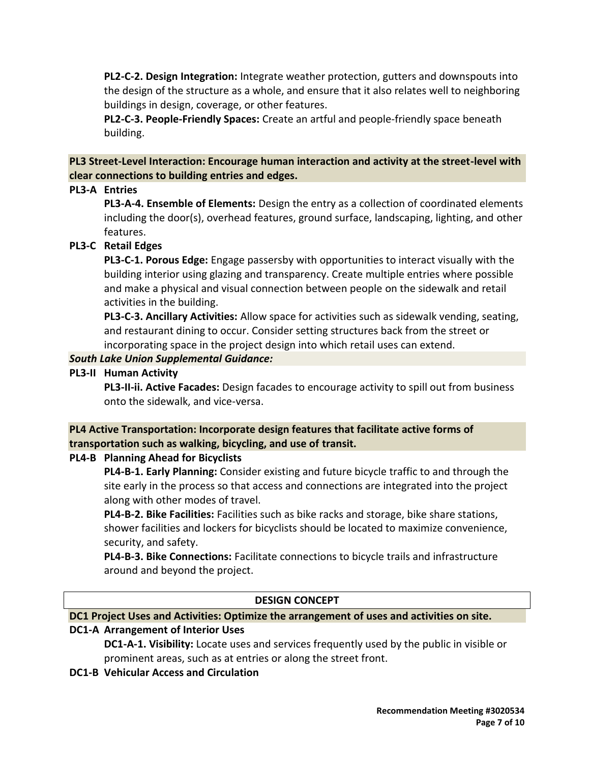**PL2-C-2. Design Integration:** Integrate weather protection, gutters and downspouts into the design of the structure as a whole, and ensure that it also relates well to neighboring buildings in design, coverage, or other features.

**PL2-C-3. People-Friendly Spaces:** Create an artful and people-friendly space beneath building.

**PL3 Street-Level Interaction: Encourage human interaction and activity at the street-level with clear connections to building entries and edges.**

# **PL3-A Entries**

**PL3-A-4. Ensemble of Elements:** Design the entry as a collection of coordinated elements including the door(s), overhead features, ground surface, landscaping, lighting, and other features.

# **PL3-C Retail Edges**

**PL3-C-1. Porous Edge:** Engage passersby with opportunities to interact visually with the building interior using glazing and transparency. Create multiple entries where possible and make a physical and visual connection between people on the sidewalk and retail activities in the building.

**PL3-C-3. Ancillary Activities:** Allow space for activities such as sidewalk vending, seating, and restaurant dining to occur. Consider setting structures back from the street or incorporating space in the project design into which retail uses can extend.

# *South Lake Union Supplemental Guidance:*

# **PL3-II Human Activity**

**PL3-II-ii. Active Facades:** Design facades to encourage activity to spill out from business onto the sidewalk, and vice-versa.

# **PL4 Active Transportation: Incorporate design features that facilitate active forms of transportation such as walking, bicycling, and use of transit.**

**PL4-B Planning Ahead for Bicyclists**

**PL4-B-1. Early Planning:** Consider existing and future bicycle traffic to and through the site early in the process so that access and connections are integrated into the project along with other modes of travel.

**PL4-B-2. Bike Facilities:** Facilities such as bike racks and storage, bike share stations, shower facilities and lockers for bicyclists should be located to maximize convenience, security, and safety.

**PL4-B-3. Bike Connections:** Facilitate connections to bicycle trails and infrastructure around and beyond the project.

# **DESIGN CONCEPT**

**DC1 Project Uses and Activities: Optimize the arrangement of uses and activities on site.**

# **DC1-A Arrangement of Interior Uses**

**DC1-A-1. Visibility:** Locate uses and services frequently used by the public in visible or prominent areas, such as at entries or along the street front.

# **DC1-B Vehicular Access and Circulation**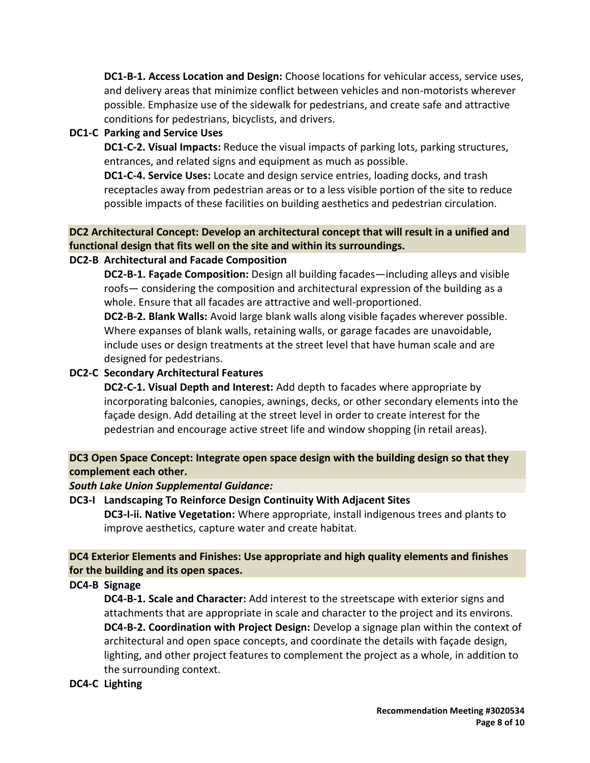**DC1-B-1. Access Location and Design:** Choose locations for vehicular access, service uses, and delivery areas that minimize conflict between vehicles and non-motorists wherever possible. Emphasize use of the sidewalk for pedestrians, and create safe and attractive conditions for pedestrians, bicyclists, and drivers.

# **DC1-C Parking and Service Uses**

**DC1-C-2. Visual Impacts:** Reduce the visual impacts of parking lots, parking structures, entrances, and related signs and equipment as much as possible.

**DC1-C-4. Service Uses:** Locate and design service entries, loading docks, and trash receptacles away from pedestrian areas or to a less visible portion of the site to reduce possible impacts of these facilities on building aesthetics and pedestrian circulation.

**DC2 Architectural Concept: Develop an architectural concept that will result in a unified and functional design that fits well on the site and within its surroundings.**

# **DC2-B Architectural and Facade Composition**

**DC2-B-1. Façade Composition:** Design all building facades—including alleys and visible roofs— considering the composition and architectural expression of the building as a whole. Ensure that all facades are attractive and well-proportioned.

**DC2-B-2. Blank Walls:** Avoid large blank walls along visible façades wherever possible. Where expanses of blank walls, retaining walls, or garage facades are unavoidable, include uses or design treatments at the street level that have human scale and are designed for pedestrians.

# **DC2-C Secondary Architectural Features**

**DC2-C-1. Visual Depth and Interest:** Add depth to facades where appropriate by incorporating balconies, canopies, awnings, decks, or other secondary elements into the façade design. Add detailing at the street level in order to create interest for the pedestrian and encourage active street life and window shopping (in retail areas).

# **DC3 Open Space Concept: Integrate open space design with the building design so that they complement each other.**

# *South Lake Union Supplemental Guidance:*

# **DC3-I Landscaping To Reinforce Design Continuity With Adjacent Sites**

**DC3-I-ii. Native Vegetation:** Where appropriate, install indigenous trees and plants to improve aesthetics, capture water and create habitat.

# **DC4 Exterior Elements and Finishes: Use appropriate and high quality elements and finishes for the building and its open spaces.**

# **DC4-B Signage**

**DC4-B-1. Scale and Character:** Add interest to the streetscape with exterior signs and attachments that are appropriate in scale and character to the project and its environs. **DC4-B-2. Coordination with Project Design:** Develop a signage plan within the context of architectural and open space concepts, and coordinate the details with façade design, lighting, and other project features to complement the project as a whole, in addition to the surrounding context.

# **DC4-C Lighting**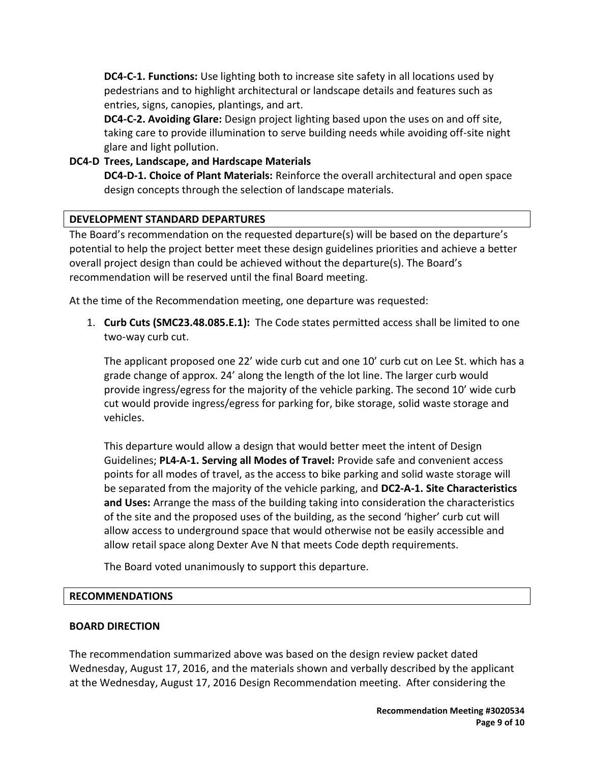**DC4-C-1. Functions:** Use lighting both to increase site safety in all locations used by pedestrians and to highlight architectural or landscape details and features such as entries, signs, canopies, plantings, and art.

**DC4-C-2. Avoiding Glare:** Design project lighting based upon the uses on and off site, taking care to provide illumination to serve building needs while avoiding off-site night glare and light pollution.

# **DC4-D Trees, Landscape, and Hardscape Materials**

**DC4-D-1. Choice of Plant Materials:** Reinforce the overall architectural and open space design concepts through the selection of landscape materials.

# **DEVELOPMENT STANDARD DEPARTURES**

The Board's recommendation on the requested departure(s) will be based on the departure's potential to help the project better meet these design guidelines priorities and achieve a better overall project design than could be achieved without the departure(s). The Board's recommendation will be reserved until the final Board meeting.

At the time of the Recommendation meeting, one departure was requested:

1. **Curb Cuts (SMC23.48.085.E.1):** The Code states permitted access shall be limited to one two-way curb cut.

The applicant proposed one 22' wide curb cut and one 10' curb cut on Lee St. which has a grade change of approx. 24' along the length of the lot line. The larger curb would provide ingress/egress for the majority of the vehicle parking. The second 10' wide curb cut would provide ingress/egress for parking for, bike storage, solid waste storage and vehicles.

This departure would allow a design that would better meet the intent of Design Guidelines; **PL4-A-1. Serving all Modes of Travel:** Provide safe and convenient access points for all modes of travel, as the access to bike parking and solid waste storage will be separated from the majority of the vehicle parking, and **DC2-A-1. Site Characteristics and Uses:** Arrange the mass of the building taking into consideration the characteristics of the site and the proposed uses of the building, as the second 'higher' curb cut will allow access to underground space that would otherwise not be easily accessible and allow retail space along Dexter Ave N that meets Code depth requirements.

The Board voted unanimously to support this departure.

# **RECOMMENDATIONS**

# **BOARD DIRECTION**

The recommendation summarized above was based on the design review packet dated Wednesday, August 17, 2016, and the materials shown and verbally described by the applicant at the Wednesday, August 17, 2016 Design Recommendation meeting. After considering the